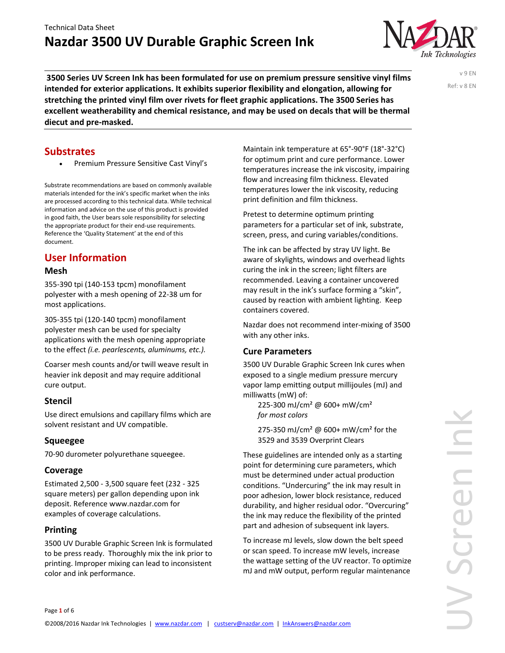

**3500 Series UV Screen Ink has been formulated for use on premium pressure sensitive vinyl films intended for exterior applications. It exhibits superior flexibility and elongation, allowing for stretching the printed vinyl film over rivets for fleet graphic applications. The 3500 Series has excellent weatherability and chemical resistance, and may be used on decals that will be thermal diecut and pre‐masked.**

v 9 EN Ref: v 8 EN

## **Substrates**

Premium Pressure Sensitive Cast Vinyl's

Substrate recommendations are based on commonly available materials intended for the ink's specific market when the inks are processed according to this technical data. While technical information and advice on the use of this product is provided in good faith, the User bears sole responsibility for selecting the appropriate product for their end‐use requirements. Reference the 'Quality Statement' at the end of this document.

# **User Information**

#### **Mesh**

355‐390 tpi (140‐153 tpcm) monofilament polyester with a mesh opening of 22‐38 um for most applications.

305‐355 tpi (120‐140 tpcm) monofilament polyester mesh can be used for specialty applications with the mesh opening appropriate to the effect *(i.e. pearlescents, aluminums, etc.).* 

Coarser mesh counts and/or twill weave result in heavier ink deposit and may require additional cure output.

#### **Stencil**

Use direct emulsions and capillary films which are solvent resistant and UV compatible.

#### **Squeegee**

70‐90 durometer polyurethane squeegee.

#### **Coverage**

Estimated 2,500 ‐ 3,500 square feet (232 ‐ 325 square meters) per gallon depending upon ink deposit. Reference www.nazdar.com for examples of coverage calculations.

#### **Printing**

3500 UV Durable Graphic Screen Ink is formulated to be press ready. Thoroughly mix the ink prior to printing. Improper mixing can lead to inconsistent color and ink performance.

Maintain ink temperature at 65°‐90°F (18°‐32°C) for optimum print and cure performance. Lower temperatures increase the ink viscosity, impairing flow and increasing film thickness. Elevated temperatures lower the ink viscosity, reducing print definition and film thickness.

Pretest to determine optimum printing parameters for a particular set of ink, substrate, screen, press, and curing variables/conditions.

The ink can be affected by stray UV light. Be aware of skylights, windows and overhead lights curing the ink in the screen; light filters are recommended. Leaving a container uncovered may result in the ink's surface forming a "skin", caused by reaction with ambient lighting. Keep containers covered.

Nazdar does not recommend inter‐mixing of 3500 with any other inks.

#### **Cure Parameters**

3500 UV Durable Graphic Screen Ink cures when exposed to a single medium pressure mercury vapor lamp emitting output millijoules (mJ) and milliwatts (mW) of:

225‐300 mJ/cm² @ 600+ mW/cm² *for most colors*

275‐350 mJ/cm² @ 600+ mW/cm² for the 3529 and 3539 Overprint Clears

These guidelines are intended only as a starting point for determining cure parameters, which must be determined under actual production conditions. "Undercuring" the ink may result in poor adhesion, lower block resistance, reduced durability, and higher residual odor. "Overcuring" the ink may reduce the flexibility of the printed part and adhesion of subsequent ink layers.

To increase mJ levels, slow down the belt speed or scan speed. To increase mW levels, increase the wattage setting of the UV reactor. To optimize mJ and mW output, perform regular maintenance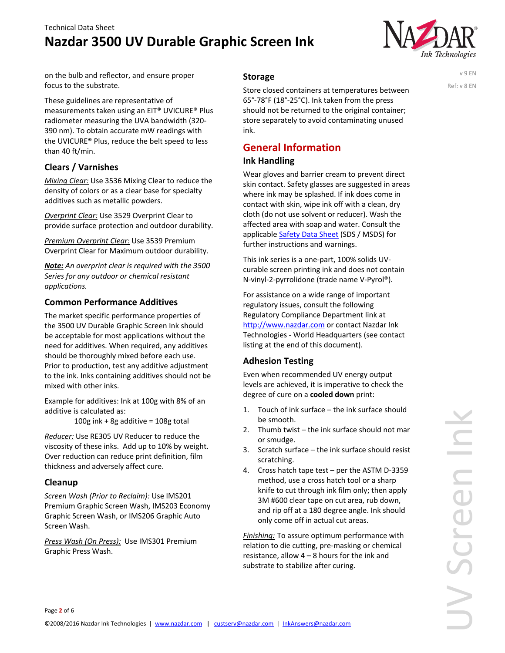

on the bulb and reflector, and ensure proper focus to the substrate.

These guidelines are representative of measurements taken using an EIT® UVICURE® Plus radiometer measuring the UVA bandwidth (320‐ 390 nm). To obtain accurate mW readings with the UVICURE® Plus, reduce the belt speed to less than 40 ft/min.

#### **Clears / Varnishes**

*Mixing Clear:* Use 3536 Mixing Clear to reduce the density of colors or as a clear base for specialty additives such as metallic powders.

*Overprint Clear:* Use 3529 Overprint Clear to provide surface protection and outdoor durability.

*Premium Overprint Clear:* Use 3539 Premium Overprint Clear for Maximum outdoor durability.

*Note: An overprint clear is required with the 3500 Series for any outdoor or chemical resistant applications.*

#### **Common Performance Additives**

The market specific performance properties of the 3500 UV Durable Graphic Screen Ink should be acceptable for most applications without the need for additives. When required, any additives should be thoroughly mixed before each use. Prior to production, test any additive adjustment to the ink. Inks containing additives should not be mixed with other inks.

Example for additives: Ink at 100g with 8% of an additive is calculated as:

100g ink + 8g additive =  $108g$  total

*Reducer:* Use RE305 UV Reducer to reduce the viscosity of these inks. Add up to 10% by weight. Over reduction can reduce print definition, film thickness and adversely affect cure.

#### **Cleanup**

*Screen Wash (Prior to Reclaim):* Use IMS201 Premium Graphic Screen Wash, IMS203 Economy Graphic Screen Wash, or IMS206 Graphic Auto Screen Wash.

*Press Wash (On Press):* Use IMS301 Premium Graphic Press Wash.

#### **Storage**

Store closed containers at temperatures between 65°‐78°F (18°‐25°C). Ink taken from the press should not be returned to the original container; store separately to avoid contaminating unused ink.

# **General Information**

#### **Ink Handling**

Wear gloves and barrier cream to prevent direct skin contact. Safety glasses are suggested in areas where ink may be splashed. If ink does come in contact with skin, wipe ink off with a clean, dry cloth (do not use solvent or reducer). Wash the affected area with soap and water. Consult the applicable Safety Data Sheet (SDS / MSDS) for further instructions and warnings.

This ink series is a one‐part, 100% solids UV‐ curable screen printing ink and does not contain N‐vinyl‐2‐pyrrolidone (trade name V‐Pyrol®).

For assistance on a wide range of important regulatory issues, consult the following Regulatory Compliance Department link at http://www.nazdar.com or contact Nazdar Ink Technologies ‐ World Headquarters (see contact listing at the end of this document).

## **Adhesion Testing**

Even when recommended UV energy output levels are achieved, it is imperative to check the degree of cure on a **cooled down** print:

- 1. Touch of ink surface the ink surface should be smooth.
- 2. Thumb twist the ink surface should not mar or smudge.
- 3. Scratch surface the ink surface should resist scratching.
- 4. Cross hatch tape test per the ASTM D-3359 method, use a cross hatch tool or a sharp knife to cut through ink film only; then apply 3M #600 clear tape on cut area, rub down, and rip off at a 180 degree angle. Ink should only come off in actual cut areas.

*Finishing:* To assure optimum performance with relation to die cutting, pre‐masking or chemical resistance, allow 4 – 8 hours for the ink and substrate to stabilize after curing.

v 9 EN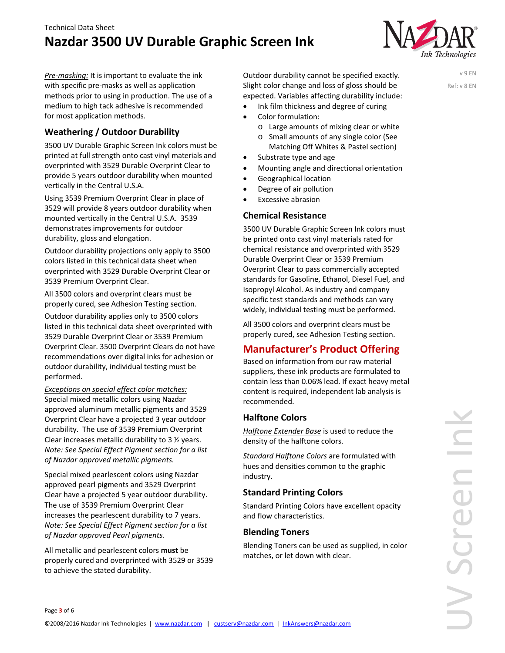

*Pre‐masking:* It is important to evaluate the ink with specific pre‐masks as well as application methods prior to using in production. The use of a medium to high tack adhesive is recommended for most application methods.

## **Weathering / Outdoor Durability**

3500 UV Durable Graphic Screen Ink colors must be printed at full strength onto cast vinyl materials and overprinted with 3529 Durable Overprint Clear to provide 5 years outdoor durability when mounted vertically in the Central U.S.A.

Using 3539 Premium Overprint Clear in place of 3529 will provide 8 years outdoor durability when mounted vertically in the Central U.S.A. 3539 demonstrates improvements for outdoor durability, gloss and elongation.

Outdoor durability projections only apply to 3500 colors listed in this technical data sheet when overprinted with 3529 Durable Overprint Clear or 3539 Premium Overprint Clear.

All 3500 colors and overprint clears must be properly cured, see Adhesion Testing section.

Outdoor durability applies only to 3500 colors listed in this technical data sheet overprinted with 3529 Durable Overprint Clear or 3539 Premium Overprint Clear. 3500 Overprint Clears do not have recommendations over digital inks for adhesion or outdoor durability, individual testing must be performed.

*Exceptions on special effect color matches:* Special mixed metallic colors using Nazdar approved aluminum metallic pigments and 3529 Overprint Clear have a projected 3 year outdoor durability. The use of 3539 Premium Overprint Clear increases metallic durability to 3 ½ years. *Note: See Special Effect Pigment section for a list of Nazdar approved metallic pigments.*

Special mixed pearlescent colors using Nazdar approved pearl pigments and 3529 Overprint Clear have a projected 5 year outdoor durability. The use of 3539 Premium Overprint Clear increases the pearlescent durability to 7 years. *Note: See Special Effect Pigment section for a list of Nazdar approved Pearl pigments.*

All metallic and pearlescent colors **must** be properly cured and overprinted with 3529 or 3539 to achieve the stated durability.

Outdoor durability cannot be specified exactly. Slight color change and loss of gloss should be expected. Variables affecting durability include:

 Ink film thickness and degree of curing Color formulation:

- o Large amounts of mixing clear or white
- o Small amounts of any single color (See Matching Off Whites & Pastel section)
- Substrate type and age
- Mounting angle and directional orientation
- Geographical location
- Degree of air pollution
- Excessive abrasion

#### **Chemical Resistance**

3500 UV Durable Graphic Screen Ink colors must be printed onto cast vinyl materials rated for chemical resistance and overprinted with 3529 Durable Overprint Clear or 3539 Premium Overprint Clear to pass commercially accepted standards for Gasoline, Ethanol, Diesel Fuel, and Isopropyl Alcohol. As industry and company specific test standards and methods can vary widely, individual testing must be performed.

All 3500 colors and overprint clears must be properly cured, see Adhesion Testing section.

## **Manufacturer's Product Offering**

Based on information from our raw material suppliers, these ink products are formulated to contain less than 0.06% lead. If exact heavy metal content is required, independent lab analysis is recommended.

#### **Halftone Colors**

*Halftone Extender Base* is used to reduce the density of the halftone colors.

*Standard Halftone Colors* are formulated with hues and densities common to the graphic industry.

#### **Standard Printing Colors**

Standard Printing Colors have excellent opacity and flow characteristics.

#### **Blending Toners**

Blending Toners can be used as supplied, in color matches, or let down with clear.

v 9 EN Ref: v 8 EN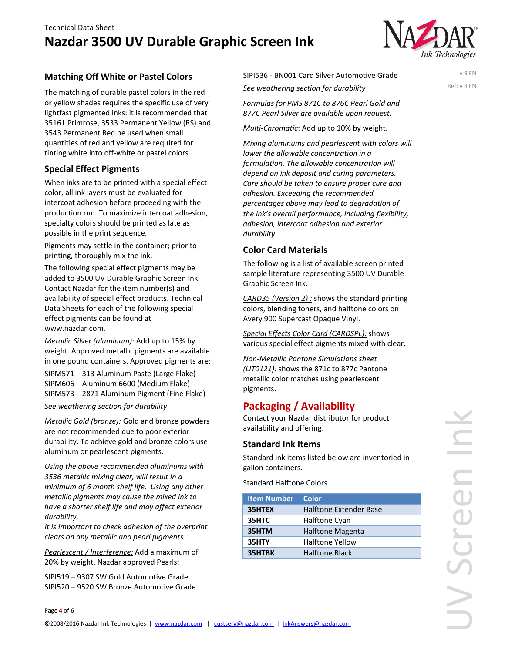

v 9 EN Ref: v 8 EN

### **Matching Off White or Pastel Colors**

The matching of durable pastel colors in the red or yellow shades requires the specific use of very lightfast pigmented inks: it is recommended that 35161 Primrose, 3533 Permanent Yellow (RS) and 3543 Permanent Red be used when small quantities of red and yellow are required for tinting white into off‐white or pastel colors.

#### **Special Effect Pigments**

When inks are to be printed with a special effect color, all ink layers must be evaluated for intercoat adhesion before proceeding with the production run. To maximize intercoat adhesion, specialty colors should be printed as late as possible in the print sequence.

Pigments may settle in the container; prior to printing, thoroughly mix the ink.

The following special effect pigments may be added to 3500 UV Durable Graphic Screen Ink. Contact Nazdar for the item number(s) and availability of special effect products. Technical Data Sheets for each of the following special effect pigments can be found at www.nazdar.com.

*Metallic Silver (aluminum):* Add up to 15% by weight. Approved metallic pigments are available in one pound containers. Approved pigments are:

SIPM571 – 313 Aluminum Paste (Large Flake) SIPM606 – Aluminum 6600 (Medium Flake) SIPM573 – 2871 Aluminum Pigment (Fine Flake)

*See weathering section for durability* 

*Metallic Gold (bronze):* Gold and bronze powders are not recommended due to poor exterior durability. To achieve gold and bronze colors use aluminum or pearlescent pigments.

*Using the above recommended aluminums with 3536 metallic mixing clear, will result in a minimum of 6 month shelf life. Using any other metallic pigments may cause the mixed ink to have a shorter shelf life and may affect exterior*  $durability.$ 

*It is important to check adhesion of the overprint clears on any metallic and pearl pigments.*

*Pearlescent / Interference:* Add a maximum of 20% by weight. Nazdar approved Pearls:

SIPI519 – 9307 SW Gold Automotive Grade SIPI520 – 9520 SW Bronze Automotive Grade SIPI536 ‐ BN001 Card Silver Automotive Grade *See weathering section for durability*

*Formulas for PMS 871C to 876C Pearl Gold and 877C Pearl Silver are available upon request.*

*Multi‐Chromatic*: Add up to 10% by weight.

*Mixing aluminums and pearlescent with colors will lower the allowable concentration in a formulation. The allowable concentration will depend on ink deposit and curing parameters. Care should be taken to ensure proper cure and adhesion. Exceeding the recommended percentages above may lead to degradation of the ink's overall performance, including flexibility, adhesion, intercoat adhesion and exterior durability.*

#### **Color Card Materials**

The following is a list of available screen printed sample literature representing 3500 UV Durable Graphic Screen Ink.

*CARD35 (Version 2) :* shows the standard printing colors, blending toners, and halftone colors on Avery 900 Supercast Opaque Vinyl.

*Special Effects Color Card (CARDSPL):* shows various special effect pigments mixed with clear.

*Non‐Metallic Pantone Simulations sheet (LIT0121):* shows the 871c to 877c Pantone metallic color matches using pearlescent pigments.

## **Packaging / Availability**

Contact your Nazdar distributor for product availability and offering.

#### **Standard Ink Items**

Standard ink items listed below are inventoried in gallon containers.

Standard Halftone Colors

| <b>Item Number</b> | Color                   |
|--------------------|-------------------------|
| 35HTEX             | Halftone Extender Base  |
| 35HTC              | Halftone Cyan           |
| 35HTM              | <b>Halftone Magenta</b> |
| 35HTY              | <b>Halftone Yellow</b>  |
| 35HTBK             | <b>Halftone Black</b>   |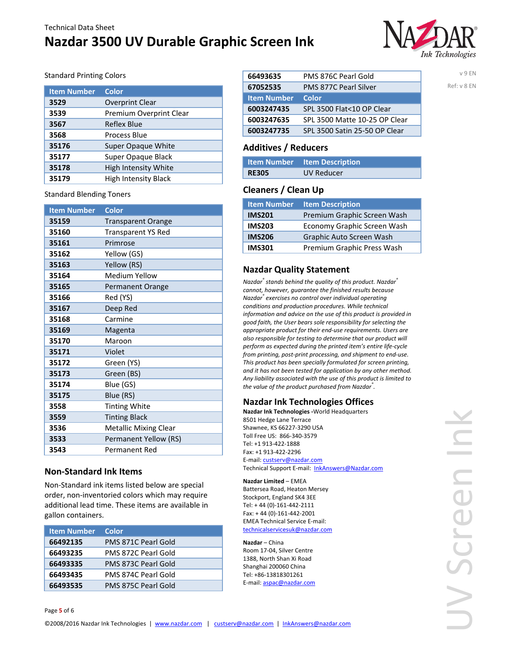# **Nazdar 3500 UV Durable Graphic Screen Ink**



v 9 EN Ref: v 8 EN

#### Standard Printing Colors

| <b>Item Number</b> | <b>Color</b>                |
|--------------------|-----------------------------|
| 3529               | <b>Overprint Clear</b>      |
| 3539               | Premium Overprint Clear     |
| 3567               | Reflex Blue                 |
| 3568               | Process Blue                |
| 35176              | <b>Super Opaque White</b>   |
| 35177              | Super Opaque Black          |
| 35178              | High Intensity White        |
| 35179              | <b>High Intensity Black</b> |

Standard Blending Toners

| <b>Item Number</b> | <b>Color</b>                 |
|--------------------|------------------------------|
| 35159              | <b>Transparent Orange</b>    |
| 35160              | <b>Transparent YS Red</b>    |
| 35161              | Primrose                     |
| 35162              | Yellow (GS)                  |
| 35163              | Yellow (RS)                  |
| 35164              | <b>Medium Yellow</b>         |
| 35165              | <b>Permanent Orange</b>      |
| 35166              | Red (YS)                     |
| 35167              | Deep Red                     |
| 35168              | Carmine                      |
| 35169              | Magenta                      |
| 35170              | Maroon                       |
| 35171              | Violet                       |
| 35172              | Green (YS)                   |
| 35173              | Green (BS)                   |
| 35174              | Blue (GS)                    |
| 35175              | Blue (RS)                    |
| 3558               | <b>Tinting White</b>         |
| 3559               | <b>Tinting Black</b>         |
| 3536               | <b>Metallic Mixing Clear</b> |
| 3533               | Permanent Yellow (RS)        |
| 3543               | Permanent Red                |

#### **Non‐Standard Ink Items**

Non‐Standard ink items listed below are special order, non‐inventoried colors which may require additional lead time. These items are available in gallon containers.

| <b>Item Number</b> | Color               |
|--------------------|---------------------|
| 66492135           | PMS 871C Pearl Gold |
| 66493235           | PMS 872C Pearl Gold |
| 66493335           | PMS 873C Pearl Gold |
| 66493435           | PMS 874C Pearl Gold |
| 66493535           | PMS 875C Pearl Gold |

| 66493635           | PMS 876C Pearl Gold           |
|--------------------|-------------------------------|
| 67052535           | <b>PMS 877C Pearl Silver</b>  |
| <b>Item Number</b> | Color                         |
| 6003247435         | SPL 3500 Flat<10 OP Clear     |
| 6003247635         | SPL 3500 Matte 10-25 OP Clear |
| 6003247735         | SPL 3500 Satin 25-50 OP Clear |

#### **Additives / Reducers**

|              | Item Number Item Description |
|--------------|------------------------------|
| <b>RE305</b> | UV Reducer                   |

#### **Cleaners / Clean Up**

| <b>Item Number</b> | <b>Item Description</b>     |
|--------------------|-----------------------------|
| <b>IMS201</b>      | Premium Graphic Screen Wash |
| <b>IMS203</b>      | Economy Graphic Screen Wash |
| <b>IMS206</b>      | Graphic Auto Screen Wash    |
| <b>IMS301</b>      | Premium Graphic Press Wash  |

#### **Nazdar Quality Statement**

*Nazdar® stands behind the quality of this product. Nazdar® cannot, however, guarantee the finished results because Nazdar® exercises no control over individual operating conditions and production procedures. While technical information and advice on the use of this product is provided in good faith, the User bears sole responsibility for selecting the appropriate product for their end‐use requirements. Users are also responsible for testing to determine that our product will perform as expected during the printed item's entire life‐cycle from printing, post‐print processing, and shipment to end‐use. This product has been specially formulated for screen printing, and it has not been tested for application by any other method. Any liability associated with the use of this product is limited to the value of the product purchased from Nazdar® .*

#### **Nazdar Ink Technologies Offices**

**Nazdar Ink Technologies ‐**World Headquarters 8501 Hedge Lane Terrace Shawnee, KS 66227‐3290 USA Toll Free US: 866‐340‐3579 Tel: +1 913‐422‐1888 Fax: +1 913‐422‐2296 E-mail: custserv@nazdar.com Technical Support E-mail: InkAnswers@Nazdar.com

**Nazdar Limited** – EMEA Battersea Road, Heaton Mersey Stockport, England SK4 3EE Tel: + 44 (0)‐161‐442‐2111 Fax: + 44 (0)‐161‐442‐2001 EMEA Technical Service E‐mail: technicalservicesuk@nazdar.com

**Nazdar** – China Room 17‐04, Silver Centre 1388, North Shan Xi Road Shanghai 200060 China Tel: +86‐13818301261 E‐mail: aspac@nazdar.com